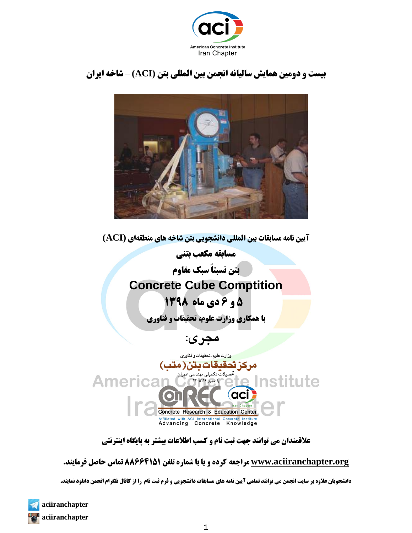

# **بیست و دومین همایش سالیانه انجمن بین المللی بتن (ACI** – **(شاخه ایران**



**آیین نامه مسابقات بین المللی دانشجویی بتن شاخه های منطقهای (ACI(**

**مسابقه مکعب بتنی** 

**بتن نسبتاً سبک مقاوم**

# **Concrete Cube Comptition**

# **5 و 6 دی ماه 9318**

**با همکاری وزارت علوم، تحقیقات و فناوری**

 **مجری:**

وزارت علوم، تحقيقات و فناوري مركزتحقيقات بتن(متب) Institute **Americar** (aci) Concrete Research & Education Center Affiliated with ACI International Concrete Institute<br>Advancing Concrete Knowledge

**عالقمندان می توانند جهت ثبت نام و کسب اطالعات بیشتر به پایگاه اینترنتی**

### **[org.aciiranchapter.www](http://www.aciiranchapter.org/) مراجعه کرده و یا با شماره تلفن 88666959 تماس حاصل فرمایند.**

**دانشجویان عالوه بر سایت انجمن می توانند تمامی آیین نامه های مسابقات دانشجویی و فرم ثبت نام را از کانال تلگرام انجمن دانلود نمایند.**

1

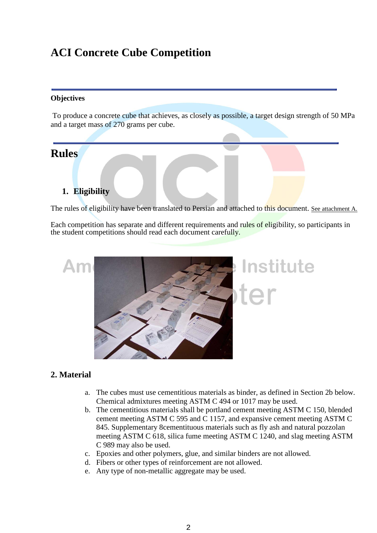# **ACI Concrete Cube Competition**

#### **Objectives**

To produce a concrete cube that achieves, as closely as possible, a target design strength of 50 MPa and a target mass of 270 grams per cube.

# **Rules**

# **1. Eligibility**

The rules of eligibility have been translated to Persian and attached to this document. See attachment A.

Each competition has separate and different requirements and rules of eligibility, so participants in the student competitions should read each document carefully.



## **2. Material**

- a. The cubes must use cementitious materials as binder, as defined in Section 2b below. Chemical admixtures meeting ASTM C 494 or 1017 may be used.
- b. The cementitious materials shall be portland cement meeting ASTM C 150, blended cement meeting ASTM C 595 and C 1157, and expansive cement meeting ASTM C 845. Supplementary 8cementituous materials such as fly ash and natural pozzolan meeting ASTM C 618, silica fume meeting ASTM C 1240, and slag meeting ASTM C 989 may also be used.
- c. Epoxies and other polymers, glue, and similar binders are not allowed.
- d. Fibers or other types of reinforcement are not allowed.
- e. Any type of non-metallic aggregate may be used.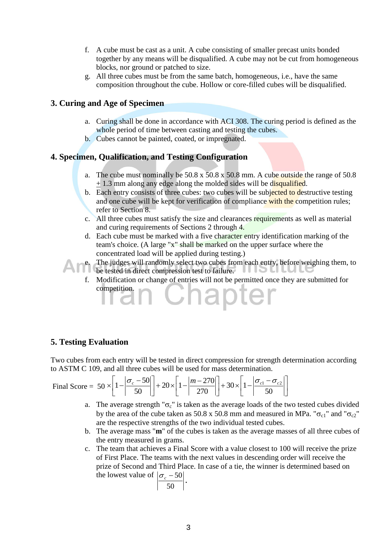- f. A cube must be cast as a unit. A cube consisting of smaller precast units bonded together by any means will be disqualified. A cube may not be cut from homogeneous blocks, nor ground or patched to size.
- g. All three cubes must be from the same batch, homogeneous, i.e., have the same composition throughout the cube. Hollow or core-filled cubes will be disqualified.

#### **3. Curing and Age of Specimen**

- a. Curing shall be done in accordance with ACI 308. The curing period is defined as the whole period of time between casting and testing the cubes.
- b. Cubes cannot be painted, coated, or impregnated.

#### **4. Specimen, Qualification, and Testing Configuration**

- a. The cube must nominally be  $50.8 \times 50.8 \times 50.8$  mm. A cube outside the range of  $50.8$  $+ 1.3$  mm along any edge along the molded sides will be disqualified.
- b. Each entry consists of three cubes: two cubes will be subjected to destructive testing and one cube will be kept for verification of compliance with the competition rules; refer to Section 8.
- c. All three cubes must satisfy the size and clearances requirements as well as material and curing requirements of Sections 2 through 4.
- d. Each cube must be marked with a five character entry identification marking of the team's choice. (A large "x" shall be marked on the upper surface where the concentrated load will be applied during testing.)

e. The judges will randomly select two cubes from each entry, before weighing them, to be tested in direct compression test to failure. **UIDU** 

f. Modification or change of entries will not be permitted once they are submitted for competition. Chapter

#### **5. Testing Evaluation**

Two cubes from each entry will be tested in direct compression for strength determination according to ASTM C 109, and all three cubes will be used for mass determination.

Final Score = 
$$
50 \times \left[ 1 - \left| \frac{\sigma_c - 50}{50} \right| \right] + 20 \times \left[ 1 - \left| \frac{m - 270}{270} \right| \right] + 30 \times \left[ 1 - \left| \frac{\sigma_{c1} - \sigma_{c2}}{50} \right| \right]
$$

- a. The average strength " $\sigma_c$ " is taken as the average loads of the two tested cubes divided by the area of the cube taken as 50.8 x 50.8 mm and measured in MPa. " $\sigma_{c1}$ " and " $\sigma_{c2}$ " are the respective strengths of the two individual tested cubes.
- b. The average mass "**m**" of the cubes is taken as the average masses of all three cubes of the entry measured in grams.
- c. The team that achieves a Final Score with a value closest to 100 will receive the prize of First Place. The teams with the next values in descending order will receive the prize of Second and Third Place. In case of a tie, the winner is determined based on the lowest value of  $\sigma_c$  – 50 **.**

$$
\left|\frac{\sigma_c}{50}\right|
$$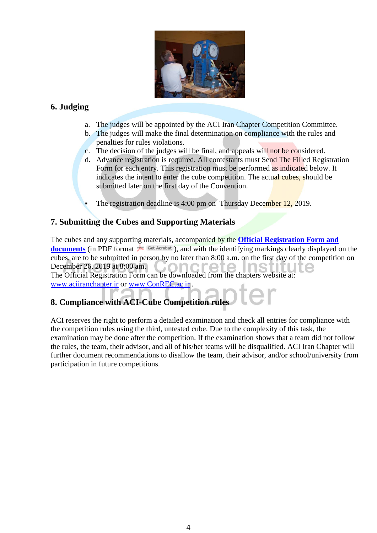

## **6. Judging**

- a. The judges will be appointed by the ACI Iran Chapter Competition Committee.
- b. The judges will make the final determination on compliance with the rules and penalties for rules violations.
- c. The decision of the judges will be final, and appeals will not be considered.
- d. Advance registration is required. All contestants must Send The Filled Registration Form for each entry. This registration must be performed as indicated below. It indicates the intent to enter the cube competition. The actual cubes, should be submitted later on the first day of the Convention.
- The registration deadline is 4:00 pm on Thursday December 12, 2019.

#### **7. Submitting the Cubes and Supporting Materials**

The cubes and any supporting materials, accompanied by the **[Official Registration Form](http://www.concrete.org/students/2009CubeOfficialForm.pdf) and documents** (in PDF format  $\neq$  <sup>Get Acrobat</sup>[\)](http://www.adobe.com/products/acrobat/readstep2.html), and with the identifying markings clearly displayed on the cubes, are to be submitted in person by no later than 8:00 a.m. on the first day of the competition on December 26, 2019 at 8:00 am. 501

The Official Registration Form can be downloaded from the chapters website at: [www.aciiranchapter.ir](http://www.aciiranchapter.ir/) or [www.ConREC.ac.ir](http://www.conrec.ac.ir/) .

# **8. Compliance with ACI-Cube Competition rule**

ACI reserves the right to perform a detailed examination and check all entries for compliance with the competition rules using the third, untested cube. Due to the complexity of this task, the examination may be done after the competition. If the examination shows that a team did not follow the rules, the team, their advisor, and all of his/her teams will be disqualified. ACI Iran Chapter will further document recommendations to disallow the team, their advisor, and/or school/university from participation in future competitions.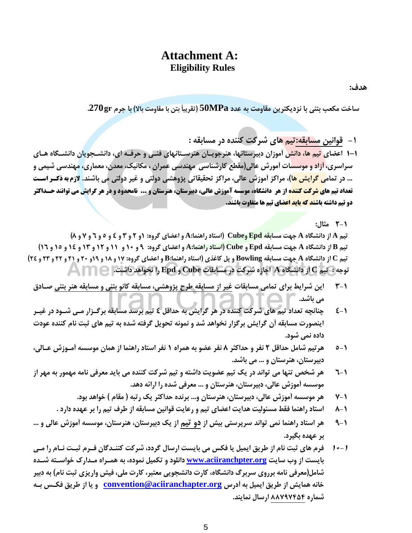## **Attachment A: Eligibility Rules**

**هدف:** 

 **ساخت مكعب بتني با نزديكترين مقاومت به عدد MPa50( تقريباً بتن با مقاومت باال( با جرم gr .270** 

**-1 قوانین مسابقه:تیم های شرکت کننده در مسابقه :**

**1-1 اعضای تیم ها، دانش آموزان دبیرستانها، هنرجوياان هنرساتانهای يناي و هرياه ا ی، دانشاوويان دانشاهاه هاای سراسری، آزاد و موسسات آمورش عالي)مقطع کارشناسي مهندسي عمران ، مكانیک، معدن، معماری، مهندسي شیمي و ... در تمامي گرايش ها(، مراکز آموزش عالي، مراکز تحقیقاتي پژوهشي دولتي و غیر دولتي مي باشند. الزم به ذکر ستر**  تعداد تیم ها<mark>ی شرکت کننده</mark> از هر دانشگاه، موسسه آموزش عالی، دبیرستان، هنرستان و ... نامحدود و د<mark>ر هر گرایش</mark> می توانند حـداکثر **دو تیم داشته باشن<mark>د که باید اعض</mark>ای تیم ها متفاوت باشند.** 

**2-1 مثال:**

تیم A از دانشگاه A جهت مسابقه Epd وCube (استاد راهنما:A و اعضای گروه: ۱و ۲ و ۳ و ٤ و ٥ و ٦ و ٧ و ٨) تيم B از دانشگاه A جهت مسابقه Epd و Cube (استاد راهنما:4 و اعضاي گروه: 9 و 10 و 11 و 12 و 12 و 15 و 10 و 13) تیم C از دانشگاه A جهت مسابقه Bowling و پل کاغذی (استاد راهنما:B و اعضای گروه: ۱۷ و ۱۸ و ۱۹ و ۲۰ و ۲۱ و ۲۲ و ۲۲ و ۲۶)  **توجه : تیم C از دانشهاه A اجازه شرکت در مسابقات Cube و Epd را نخواهد داشت.**

- **3-1 اين شرايط برای تمامي مسابقات غیر از مسابقه طرح پژوهشي، مسابقه کانو بتني و مسابقه هنر بتني صااد مي باشد.**
- **4-1 چنانچه تعداد تیم های شرکت کننده در هر گرايش به هداقل 4 تیم برسد مسابقه برگا زار ماي شاود در غیار اينصورت مسابقه آن گرايش برگزار نخواهد شد و نمونه تحويل گريته شده به تیم های ثبت نام کننده عودت داده نمي شود.**
- **5-1 هرتیم شامل هداقل 2 نفر و هداکثر 8 نفر عضو به همراه 1 نفر استاد راهنما از همان موسسه آماوزش عاالي، دبیرستان، هنرستان و ... مي باشد.**
- **6-1 هر شخص تنها مي تواند در يک تیم عضويت داشته و تیم شرکت کننده مي بايد معريي نامه مهمور به مهر از موسسه آموزش عالي، دبیرستان، هنرستان و ... معريي شده را ارائه دهد.**
	- **7-1 هر موسسه آموزش عالي، دبیرستان، هنرستان و... برنده هداکثر يک رتبه ) مقام ( خواهد بود.**
	- **8-1 استاد راهنما يقط مسئولیت هدايت اعضای تیم و رعايت قوانین مسابقه از طرف تیم را بر عهده دارد .**
- **9-1 هر استاد راهنما نمي تواند سرپرستي بیش از دو تیم از يک دبیرستان، هنرستان، موسسه آموزش عالي و ... بر عهده بهیرد.**
- **11-1 يرم های ثبت نام از طريق ايمیل يا يكس مي بايست ارسال گردد، شرکت کننادگان يارم ثبات ناام را ماي بايست از وب سايت [org.aciiranchpter.www](http://www.aciiranchpter.org/) دانلود و تكمیل نموده، به هماراه مادارخ خواساته شاده شامل)معريي نامه برروی سربرگ دانشهاه، کارت دانشوويي معتبر، کارت ملي، يیش واريزی ثبت نام( به دبیر خانه همايش از طريق ايمیل به آدرس [org.aciiranchapter@convention](mailto:convention@aciiranchapter.org) و يا از طريق يكاس باه شماره 55979888 ارسال نمايند.**